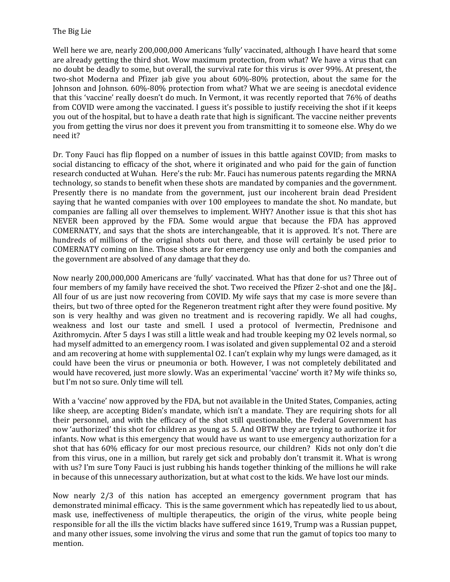Well here we are, nearly 200,000,000 Americans 'fully' vaccinated, although I have heard that some are already getting the third shot. Wow maximum protection, from what? We have a virus that can no doubt be deadly to some, but overall, the survival rate for this virus is over 99%. At present, the two-shot Moderna and Pfizer jab give you about 60%-80% protection, about the same for the Johnson and Johnson. 60%-80% protection from what? What we are seeing is anecdotal evidence that this 'vaccine' really doesn't do much. In Vermont, it was recently reported that 76% of deaths from COVID were among the vaccinated. I guess it's possible to justify receiving the shot if it keeps you out of the hospital, but to have a death rate that high is significant. The vaccine neither prevents you from getting the virus nor does it prevent you from transmitting it to someone else. Why do we need it?

Dr. Tony Fauci has flip flopped on a number of issues in this battle against COVID; from masks to social distancing to efficacy of the shot, where it originated and who paid for the gain of function research conducted at Wuhan. Here's the rub: Mr. Fauci has numerous patents regarding the MRNA technology, so stands to benefit when these shots are mandated by companies and the government. Presently there is no mandate from the government, just our incoherent brain dead President saying that he wanted companies with over 100 employees to mandate the shot. No mandate, but companies are falling all over themselves to implement. WHY? Another issue is that this shot has NEVER been approved by the FDA. Some would argue that because the FDA has approved COMERNATY, and says that the shots are interchangeable, that it is approved. It's not. There are hundreds of millions of the original shots out there, and those will certainly be used prior to COMERNATY coming on line. Those shots are for emergency use only and both the companies and the government are absolved of any damage that they do.

Now nearly 200,000,000 Americans are 'fully' vaccinated. What has that done for us? Three out of four members of my family have received the shot. Two received the Pfizer 2-shot and one the J&J.. All four of us are just now recovering from COVID. My wife says that my case is more severe than theirs, but two of three opted for the Regeneron treatment right after they were found positive. My son is very healthy and was given no treatment and is recovering rapidly. We all had coughs, weakness and lost our taste and smell. I used a protocol of Ivermectin, Prednisone and Azithromycin. After 5 days I was still a little weak and had trouble keeping my O2 levels normal, so had myself admitted to an emergency room. I was isolated and given supplemental O2 and a steroid and am recovering at home with supplemental O2. I can't explain why my lungs were damaged, as it could have been the virus or pneumonia or both. However, I was not completely debilitated and would have recovered, just more slowly. Was an experimental 'vaccine' worth it? My wife thinks so, but I'm not so sure. Only time will tell.

With a 'vaccine' now approved by the FDA, but not available in the United States, Companies, acting like sheep, are accepting Biden's mandate, which isn't a mandate. They are requiring shots for all their personnel, and with the efficacy of the shot still questionable, the Federal Government has now 'authorized' this shot for children as young as 5. And OBTW they are trying to authorize it for infants. Now what is this emergency that would have us want to use emergency authorization for a shot that has 60% efficacy for our most precious resource, our children? Kids not only don't die from this virus, one in a million, but rarely get sick and probably don't transmit it. What is wrong with us? I'm sure Tony Fauci is just rubbing his hands together thinking of the millions he will rake in because of this unnecessary authorization, but at what cost to the kids. We have lost our minds.

Now nearly 2/3 of this nation has accepted an emergency government program that has demonstrated minimal efficacy. This is the same government which has repeatedly lied to us about, mask use, ineffectiveness of multiple therapeutics, the origin of the virus, white people being responsible for all the ills the victim blacks have suffered since 1619, Trump was a Russian puppet, and many other issues, some involving the virus and some that run the gamut of topics too many to mention.